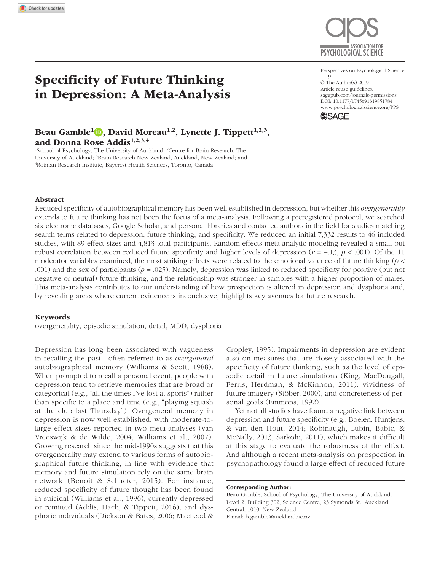

https://doi.org/10.1177/1745691619851784 DOI: 10.1177/1745691619851784 Perspectives on Psychological Science 1–19 © The Author(s) 2019 Article reuse guidelines: [sagepub.com/journals-permissions](https://sagepub.com/journals-permissions) [www.psychologicalscience.org/PPS](http://www.psychologicalscience.org/pps)



# Specificity of Future Thinking in Depression: A Meta-Analysis

Beau Gamble<sup>1</sup> , David Moreau<sup>1,2</sup>, Lynette J. Tippett<sup>1,2,3</sup>, and Donna Rose Addis<sup>1,2,3,4</sup>

<sup>1</sup>School of Psychology, The University of Auckland; <sup>2</sup>Centre for Brain Research, The University of Auckland; <sup>3</sup>Brain Research New Zealand, Auckland, New Zealand; and <sup>4</sup>Botman Research Institute, Baycrest Health Sciences, Toronto, Canada Rotman Research Institute, Baycrest Health Sciences, Toronto, Canada

#### Abstract

Reduced specificity of autobiographical memory has been well established in depression, but whether this *overgenerality* extends to future thinking has not been the focus of a meta-analysis. Following a preregistered protocol, we searched six electronic databases, Google Scholar, and personal libraries and contacted authors in the field for studies matching search terms related to depression, future thinking, and specificity. We reduced an initial 7,332 results to 46 included studies, with 89 effect sizes and 4,813 total participants. Random-effects meta-analytic modeling revealed a small but robust correlation between reduced future specificity and higher levels of depression (*r* = −.13, *p* < .001). Of the 11 moderator variables examined, the most striking effects were related to the emotional valence of future thinking (*p* < .001) and the sex of participants ( $p = .025$ ). Namely, depression was linked to reduced specificity for positive (but not negative or neutral) future thinking, and the relationship was stronger in samples with a higher proportion of males. This meta-analysis contributes to our understanding of how prospection is altered in depression and dysphoria and, by revealing areas where current evidence is inconclusive, highlights key avenues for future research.

#### Keywords

overgenerality, episodic simulation, detail, MDD, dysphoria

Depression has long been associated with vagueness in recalling the past—often referred to as *overgeneral* autobiographical memory (Williams & Scott, 1988). When prompted to recall a personal event, people with depression tend to retrieve memories that are broad or categorical (e.g., "all the times I've lost at sports") rather than specific to a place and time (e.g., "playing squash at the club last Thursday"). Overgeneral memory in depression is now well established, with moderate-tolarge effect sizes reported in two meta-analyses (van Vreeswijk & de Wilde, 2004; Williams et al., 2007). Growing research since the mid-1990s suggests that this overgenerality may extend to various forms of autobiographical future thinking, in line with evidence that memory and future simulation rely on the same brain network (Benoit & Schacter, 2015). For instance, reduced specificity of future thought has been found in suicidal (Williams et al., 1996), currently depressed or remitted (Addis, Hach, & Tippett, 2016), and dysphoric individuals (Dickson & Bates, 2006; MacLeod &

Cropley, 1995). Impairments in depression are evident also on measures that are closely associated with the specificity of future thinking, such as the level of episodic detail in future simulations (King, MacDougall, Ferris, Herdman, & McKinnon, 2011), vividness of future imagery (Stöber, 2000), and concreteness of personal goals (Emmons, 1992).

Yet not all studies have found a negative link between depression and future specificity (e.g., Boelen, Huntjens, & van den Hout, 2014; Robinaugh, Lubin, Babic, & McNally, 2013; Sarkohi, 2011), which makes it difficult at this stage to evaluate the robustness of the effect. And although a recent meta-analysis on prospection in psychopathology found a large effect of reduced future

Beau Gamble, School of Psychology, The University of Auckland, Level 2, Building 302, Science Centre, 23 Symonds St., Auckland Central, 1010, New Zealand E-mail: b.gamble@auckland.ac.nz

Corresponding Author: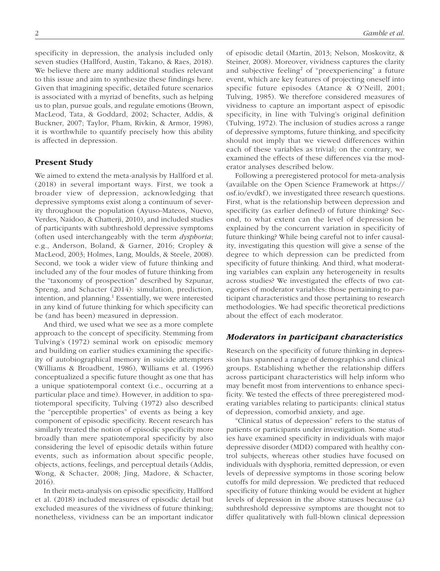specificity in depression, the analysis included only seven studies (Hallford, Austin, Takano, & Raes, 2018). We believe there are many additional studies relevant to this issue and aim to synthesize these findings here. Given that imagining specific, detailed future scenarios is associated with a myriad of benefits, such as helping us to plan, pursue goals, and regulate emotions (Brown, MacLeod, Tata, & Goddard, 2002; Schacter, Addis, & Buckner, 2007; Taylor, Pham, Rivkin, & Armor, 1998), it is worthwhile to quantify precisely how this ability is affected in depression.

## Present Study

We aimed to extend the meta-analysis by Hallford et al. (2018) in several important ways. First, we took a broader view of depression, acknowledging that depressive symptoms exist along a continuum of severity throughout the population (Ayuso-Mateos, Nuevo, Verdes, Naidoo, & Chatterji, 2010), and included studies of participants with subthreshold depressive symptoms (often used interchangeably with the term *dysphoria*; e.g., Anderson, Boland, & Garner, 2016; Cropley & MacLeod, 2003; Holmes, Lang, Moulds, & Steele, 2008). Second, we took a wider view of future thinking and included any of the four modes of future thinking from the "taxonomy of prospection" described by Szpunar, Spreng, and Schacter (2014): simulation, prediction, intention, and planning.<sup>1</sup> Essentially, we were interested in any kind of future thinking for which specificity can be (and has been) measured in depression.

And third, we used what we see as a more complete approach to the concept of specificity. Stemming from Tulving's (1972) seminal work on episodic memory and building on earlier studies examining the specificity of autobiographical memory in suicide attempters (Williams & Broadbent, 1986), Williams et al. (1996) conceptualized a specific future thought as one that has a unique spatiotemporal context (i.e., occurring at a particular place and time). However, in addition to spatiotemporal specificity, Tulving (1972) also described the "perceptible properties" of events as being a key component of episodic specificity. Recent research has similarly treated the notion of episodic specificity more broadly than mere spatiotemporal specificity by also considering the level of episodic details within future events, such as information about specific people, objects, actions, feelings, and perceptual details (Addis, Wong, & Schacter, 2008; Jing, Madore, & Schacter, 2016).

In their meta-analysis on episodic specificity, Hallford et al. (2018) included measures of episodic detail but excluded measures of the vividness of future thinking; nonetheless, vividness can be an important indicator of episodic detail (Martin, 2013; Nelson, Moskovitz, & Steiner, 2008). Moreover, vividness captures the clarity and subjective feeling<sup>2</sup> of "preexperiencing" a future event, which are key features of projecting oneself into specific future episodes (Atance & O'Neill, 2001; Tulving, 1985). We therefore considered measures of vividness to capture an important aspect of episodic specificity, in line with Tulving's original definition (Tulving, 1972). The inclusion of studies across a range of depressive symptoms, future thinking, and specificity should not imply that we viewed differences within each of these variables as trivial; on the contrary, we examined the effects of these differences via the moderator analyses described below.

Following a preregistered protocol for meta-analysis (available on the Open Science Framework at https:// osf.io/evdkf), we investigated three research questions. First, what is the relationship between depression and specificity (as earlier defined) of future thinking? Second, to what extent can the level of depression be explained by the concurrent variation in specificity of future thinking? While being careful not to infer causality, investigating this question will give a sense of the degree to which depression can be predicted from specificity of future thinking. And third, what moderating variables can explain any heterogeneity in results across studies? We investigated the effects of two categories of moderator variables: those pertaining to participant characteristics and those pertaining to research methodologies. We had specific theoretical predictions about the effect of each moderator.

## *Moderators in participant characteristics*

Research on the specificity of future thinking in depression has spanned a range of demographics and clinical groups. Establishing whether the relationship differs across participant characteristics will help inform who may benefit most from interventions to enhance specificity. We tested the effects of three preregistered moderating variables relating to participants: clinical status of depression, comorbid anxiety, and age.

"Clinical status of depression" refers to the status of patients or participants under investigation. Some studies have examined specificity in individuals with major depressive disorder (MDD) compared with healthy control subjects, whereas other studies have focused on individuals with dysphoria, remitted depression, or even levels of depressive symptoms in those scoring below cutoffs for mild depression. We predicted that reduced specificity of future thinking would be evident at higher levels of depression in the above statuses because (a) subthreshold depressive symptoms are thought not to differ qualitatively with full-blown clinical depression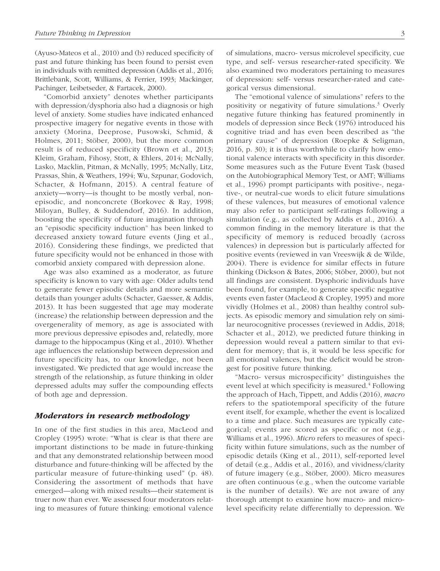(Ayuso-Mateos et al., 2010) and (b) reduced specificity of past and future thinking has been found to persist even in individuals with remitted depression (Addis et al., 2016; Brittlebank, Scott, Williams, & Ferrier, 1993; Mackinger, Pachinger, Leibetseder, & Fartacek, 2000).

"Comorbid anxiety" denotes whether participants with depression/dysphoria also had a diagnosis or high level of anxiety. Some studies have indicated enhanced prospective imagery for negative events in those with anxiety (Morina, Deeprose, Pusowski, Schmid, & Holmes, 2011; Stöber, 2000), but the more common result is of reduced specificity (Brown et al., 2013; Kleim, Graham, Fihosy, Stott, & Ehlers, 2014; McNally, Lasko, Macklin, Pitman, & McNally, 1995; McNally, Litz, Prassas, Shin, & Weathers, 1994; Wu, Szpunar, Godovich, Schacter, & Hofmann, 2015). A central feature of anxiety—worry—is thought to be mostly verbal, nonepisodic, and nonconcrete (Borkovec & Ray, 1998; Miloyan, Bulley, & Suddendorf, 2016). In addition, boosting the specificity of future imagination through an "episodic specificity induction" has been linked to decreased anxiety toward future events (Jing et al., 2016). Considering these findings, we predicted that future specificity would not be enhanced in those with comorbid anxiety compared with depression alone.

Age was also examined as a moderator, as future specificity is known to vary with age: Older adults tend to generate fewer episodic details and more semantic details than younger adults (Schacter, Gaesser, & Addis, 2013). It has been suggested that age may moderate (increase) the relationship between depression and the overgenerality of memory, as age is associated with more previous depressive episodes and, relatedly, more damage to the hippocampus (King et al., 2010). Whether age influences the relationship between depression and future specificity has, to our knowledge, not been investigated. We predicted that age would increase the strength of the relationship, as future thinking in older depressed adults may suffer the compounding effects of both age and depression.

# *Moderators in research methodology*

In one of the first studies in this area, MacLeod and Cropley (1995) wrote: "What is clear is that there are important distinctions to be made in future-thinking and that any demonstrated relationship between mood disturbance and future-thinking will be affected by the particular measure of future-thinking used" (p. 48). Considering the assortment of methods that have emerged—along with mixed results—their statement is truer now than ever. We assessed four moderators relating to measures of future thinking: emotional valence of simulations, macro- versus microlevel specificity, cue type, and self- versus researcher-rated specificity. We also examined two moderators pertaining to measures of depression: self- versus researcher-rated and categorical versus dimensional.

The "emotional valence of simulations" refers to the positivity or negativity of future simulations.<sup>3</sup> Overly negative future thinking has featured prominently in models of depression since Beck (1976) introduced his cognitive triad and has even been described as "the primary cause" of depression (Roepke & Seligman, 2016, p. 30); it is thus worthwhile to clarify how emotional valence interacts with specificity in this disorder. Some measures such as the Future Event Task (based on the Autobiographical Memory Test, or AMT; Williams et al., 1996) prompt participants with positive-, negative-, or neutral-cue words to elicit future simulations of these valences, but measures of emotional valence may also refer to participant self-ratings following a simulation (e.g., as collected by Addis et al., 2016). A common finding in the memory literature is that the specificity of memory is reduced broadly (across valences) in depression but is particularly affected for positive events (reviewed in van Vreeswijk & de Wilde, 2004). There is evidence for similar effects in future thinking (Dickson & Bates, 2006; Stöber, 2000), but not all findings are consistent. Dysphoric individuals have been found, for example, to generate specific negative events even faster (MacLeod & Cropley, 1995) and more vividly (Holmes et al., 2008) than healthy control subjects. As episodic memory and simulation rely on similar neurocognitive processes (reviewed in Addis, 2018; Schacter et al., 2012), we predicted future thinking in depression would reveal a pattern similar to that evident for memory; that is, it would be less specific for all emotional valences, but the deficit would be strongest for positive future thinking.

"Macro- versus microspecificity" distinguishes the event level at which specificity is measured.<sup>4</sup> Following the approach of Hach, Tippett, and Addis (2016), *macro* refers to the spatiotemporal specificity of the future event itself, for example, whether the event is localized to a time and place. Such measures are typically categorical; events are scored as specific or not (e.g., Williams et al., 1996). *Micro* refers to measures of specificity within future simulations, such as the number of episodic details (King et al., 2011), self-reported level of detail (e.g., Addis et al., 2016), and vividness/clarity of future imagery (e.g., Stöber, 2000). Micro measures are often continuous (e.g., when the outcome variable is the number of details). We are not aware of any thorough attempt to examine how macro- and microlevel specificity relate differentially to depression. We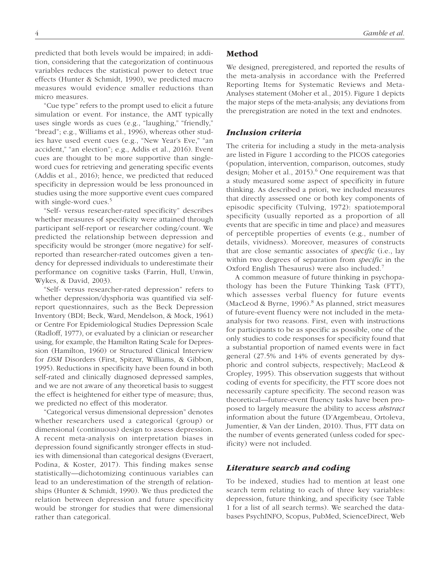4 *Gamble et al.*

predicted that both levels would be impaired; in addition, considering that the categorization of continuous variables reduces the statistical power to detect true effects (Hunter & Schmidt, 1990), we predicted macro measures would evidence smaller reductions than micro measures.

"Cue type" refers to the prompt used to elicit a future simulation or event. For instance, the AMT typically uses single words as cues (e.g., "laughing," "friendly," "bread"; e.g., Williams et al., 1996), whereas other studies have used event cues (e.g., "New Year's Eve," "an accident," "an election"; e.g., Addis et al., 2016). Event cues are thought to be more supportive than singleword cues for retrieving and generating specific events (Addis et al., 2016); hence, we predicted that reduced specificity in depression would be less pronounced in studies using the more supportive event cues compared with single-word cues.<sup>5</sup>

"Self- versus researcher-rated specificity" describes whether measures of specificity were attained through participant self-report or researcher coding/count. We predicted the relationship between depression and specificity would be stronger (more negative) for selfreported than researcher-rated outcomes given a tendency for depressed individuals to underestimate their performance on cognitive tasks (Farrin, Hull, Unwin, Wykes, & David, 2003).

"Self- versus researcher-rated depression" refers to whether depression/dysphoria was quantified via selfreport questionnaires, such as the Beck Depression Inventory (BDI; Beck, Ward, Mendelson, & Mock, 1961) or Centre For Epidemiological Studies Depression Scale (Radloff, 1977), or evaluated by a clinician or researcher using, for example, the Hamilton Rating Scale for Depression (Hamilton, 1960) or Structured Clinical Interview for *DSM* Disorders (First, Spitzer, Williams, & Gibbon, 1995). Reductions in specificity have been found in both self-rated and clinically diagnosed depressed samples, and we are not aware of any theoretical basis to suggest the effect is heightened for either type of measure; thus, we predicted no effect of this moderator.

"Categorical versus dimensional depression" denotes whether researchers used a categorical (group) or dimensional (continuous) design to assess depression. A recent meta-analysis on interpretation biases in depression found significantly stronger effects in studies with dimensional than categorical designs (Everaert, Podina, & Koster, 2017). This finding makes sense statistically—dichotomizing continuous variables can lead to an underestimation of the strength of relationships (Hunter & Schmidt, 1990). We thus predicted the relation between depression and future specificity would be stronger for studies that were dimensional rather than categorical.

# Method

We designed, preregistered, and reported the results of the meta-analysis in accordance with the Preferred Reporting Items for Systematic Reviews and Meta-Analyses statement (Moher et al., 2015). Figure 1 depicts the major steps of the meta-analysis; any deviations from the preregistration are noted in the text and endnotes.

# *Inclusion criteria*

The criteria for including a study in the meta-analysis are listed in Figure 1 according to the PICOS categories (population, intervention, comparison, outcomes, study design; Moher et al., 2015).<sup>6</sup> One requirement was that a study measured some aspect of specificity in future thinking. As described a priori, we included measures that directly assessed one or both key components of episodic specificity (Tulving, 1972): spatiotemporal specificity (usually reported as a proportion of all events that are specific in time and place) and measures of perceptible properties of events (e.g., number of details, vividness). Moreover, measures of constructs that are close semantic associates of *specific* (i.e., lay within two degrees of separation from *specific* in the Oxford English Thesaurus) were also included.7

A common measure of future thinking in psychopathology has been the Future Thinking Task (FTT), which assesses verbal fluency for future events (MacLeod & Byrne, 1996).<sup>8</sup> As planned, strict measures of future-event fluency were not included in the metaanalysis for two reasons. First, even with instructions for participants to be as specific as possible, one of the only studies to code responses for specificity found that a substantial proportion of named events were in fact general (27.5% and 14% of events generated by dysphoric and control subjects, respectively; MacLeod & Cropley, 1995). This observation suggests that without coding of events for specificity, the FTT score does not necessarily capture specificity. The second reason was theoretical—future-event fluency tasks have been proposed to largely measure the ability to access *abstract* information about the future (D'Argembeau, Ortoleva, Jumentier, & Van der Linden, 2010). Thus, FTT data on the number of events generated (unless coded for specificity) were not included.

# *Literature search and coding*

To be indexed, studies had to mention at least one search term relating to each of three key variables: depression, future thinking, and specificity (see Table 1 for a list of all search terms). We searched the databases PsychINFO, Scopus, PubMed, ScienceDirect, Web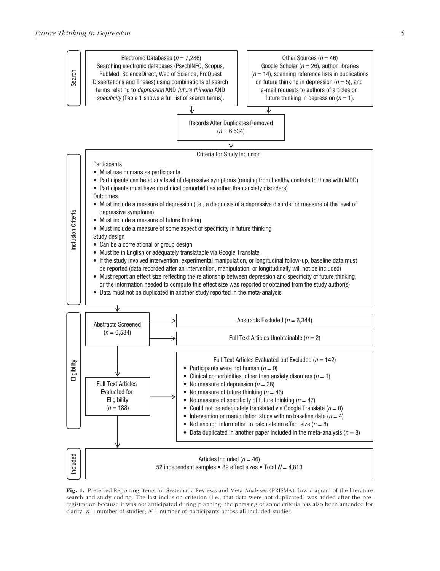

Fig. 1. Preferred Reporting Items for Systematic Reviews and Meta-Analyses (PRISMA) flow diagram of the literature search and study coding. The last inclusion criterion (i.e., that data were not duplicated) was added after the preregistration because it was not anticipated during planning; the phrasing of some criteria has also been amended for clarity.  $n =$  number of studies;  $N =$  number of participants across all included studies.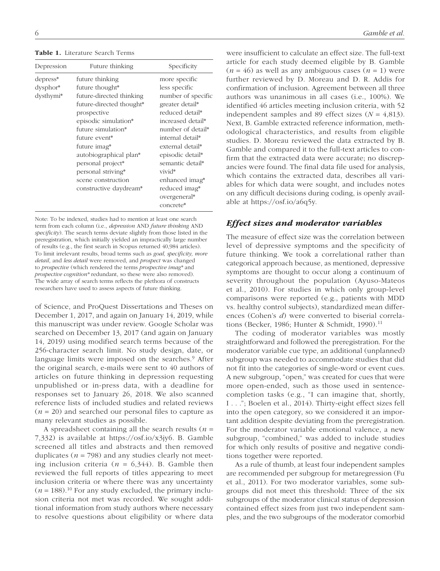| Future thinking<br>Depression                                                                                                                                                                                                                                                                                                                                    | Specificity                                                                                                                                                                                                                                                                                                |
|------------------------------------------------------------------------------------------------------------------------------------------------------------------------------------------------------------------------------------------------------------------------------------------------------------------------------------------------------------------|------------------------------------------------------------------------------------------------------------------------------------------------------------------------------------------------------------------------------------------------------------------------------------------------------------|
| future thinking<br>depress*<br>$dysphor*$<br>future thought*<br>dysthymi*<br>future-directed thinking<br>future-directed thought*<br>prospective<br>episodic simulation*<br>future simulation*<br>future event <sup>*</sup><br>future imag*<br>autobiographical plan*<br>personal project*<br>personal striving*<br>scene construction<br>constructive daydream* | more specific<br>less specific<br>number of specific<br>greater detail*<br>reduced detail*<br>increased detail*<br>number of detail*<br>internal detail*<br>external detail*<br>episodic detail*<br>semantic detail*<br>vivid <sup>*</sup><br>enhanced imag*<br>reduced imag*<br>overgeneral*<br>concrete* |

Table 1. Literature Search Terms

Note: To be indexed, studies had to mention at least one search term from each column (i.e., *depression* AND *future thinking* AND *specificity*). The search terms deviate slightly from those listed in the preregistration, which initially yielded an impractically large number of results (e.g., the first search in Scopus returned 40,984 articles). To limit irrelevant results, broad terms such as *goal, specificity, more detail*, and *less detail* were removed, and *prospect* was changed to *prospective* (which rendered the terms *prospective imag\** and *prospective cognition\** redundant, so these were also removed). The wide array of search terms reflects the plethora of constructs researchers have used to assess aspects of future thinking.

of Science, and ProQuest Dissertations and Theses on December 1, 2017, and again on January 14, 2019, while this manuscript was under review. Google Scholar was searched on December 13, 2017 (and again on January 14, 2019) using modified search terms because of the 256-character search limit. No study design, date, or language limits were imposed on the searches.<sup>9</sup> After the original search, e-mails were sent to 40 authors of articles on future thinking in depression requesting unpublished or in-press data, with a deadline for responses set to January 26, 2018. We also scanned reference lists of included studies and related reviews (*n* = 20) and searched our personal files to capture as many relevant studies as possible.

A spreadsheet containing all the search results (*n* = 7,332) is available at https://osf.io/x3jy6. B. Gamble screened all titles and abstracts and then removed duplicates ( $n = 798$ ) and any studies clearly not meeting inclusion criteria ( $n = 6,344$ ). B. Gamble then reviewed the full reports of titles appearing to meet inclusion criteria or where there was any uncertainty  $(n = 188)$ .<sup>10</sup> For any study excluded, the primary inclusion criteria not met was recorded. We sought additional information from study authors where necessary to resolve questions about eligibility or where data were insufficient to calculate an effect size. The full-text article for each study deemed eligible by B. Gamble  $(n = 46)$  as well as any ambiguous cases  $(n = 1)$  were further reviewed by D. Moreau and D. R. Addis for confirmation of inclusion. Agreement between all three authors was unanimous in all cases (i.e., 100%). We identified 46 articles meeting inclusion criteria, with 52 independent samples and 89 effect sizes  $(N = 4.813)$ . Next, B. Gamble extracted reference information, methodological characteristics, and results from eligible studies. D. Moreau reviewed the data extracted by B. Gamble and compared it to the full-text articles to confirm that the extracted data were accurate; no discrepancies were found. The final data file used for analysis, which contains the extracted data, describes all variables for which data were sought, and includes notes on any difficult decisions during coding, is openly available at https://osf.io/a6q5y.

# *Effect sizes and moderator variables*

The measure of effect size was the correlation between level of depressive symptoms and the specificity of future thinking. We took a correlational rather than categorical approach because, as mentioned, depressive symptoms are thought to occur along a continuum of severity throughout the population (Ayuso-Mateos et al., 2010). For studies in which only group-level comparisons were reported (e.g., patients with MDD vs. healthy control subjects), standardized mean differences (Cohen's *d*) were converted to biserial correlations (Becker, 1986; Hunter & Schmidt, 1990).<sup>11</sup>

The coding of moderator variables was mostly straightforward and followed the preregistration. For the moderator variable cue type, an additional (unplanned) subgroup was needed to accommodate studies that did not fit into the categories of single-word or event cues. A new subgroup, "open," was created for cues that were more open-ended, such as those used in sentencecompletion tasks (e.g., "I can imagine that, shortly, I . . ."; Boelen et al., 2014). Thirty-eight effect sizes fell into the open category, so we considered it an important addition despite deviating from the preregistration. For the moderator variable emotional valence, a new subgroup, "combined," was added to include studies for which only results of positive and negative conditions together were reported.

As a rule of thumb, at least four independent samples are recommended per subgroup for metaregression (Fu et al., 2011). For two moderator variables, some subgroups did not meet this threshold: Three of the six subgroups of the moderator clinical status of depression contained effect sizes from just two independent samples, and the two subgroups of the moderator comorbid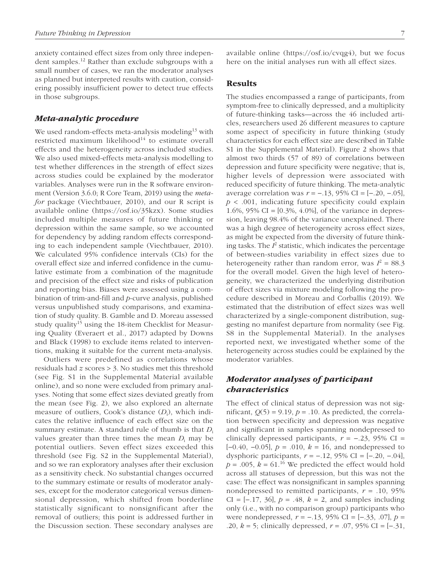anxiety contained effect sizes from only three independent samples.12 Rather than exclude subgroups with a small number of cases, we ran the moderator analyses as planned but interpreted results with caution, considering possibly insufficient power to detect true effects in those subgroups.

# *Meta-analytic procedure*

We used random-effects meta-analysis modeling<sup>13</sup> with restricted maximum likelihood $14$  to estimate overall effects and the heterogeneity across included studies. We also used mixed-effects meta-analysis modelling to test whether differences in the strength of effect sizes across studies could be explained by the moderator variables. Analyses were run in the R software environment (Version 3.6.0; R Core Team, 2019) using the *metafor* package (Viechtbauer, 2010), and our R script is available online (https://osf.io/35kzx). Some studies included multiple measures of future thinking or depression within the same sample, so we accounted for dependency by adding random effects corresponding to each independent sample (Viechtbauer, 2010). We calculated 95% confidence intervals (CIs) for the overall effect size and inferred confidence in the cumulative estimate from a combination of the magnitude and precision of the effect size and risks of publication and reporting bias. Biases were assessed using a combination of trim-and-fill and *p*-curve analysis, published versus unpublished study comparisons, and examination of study quality. B. Gamble and D. Moreau assessed study quality<sup>15</sup> using the 18-item Checklist for Measuring Quality (Everaert et al., 2017) adapted by Downs and Black (1998) to exclude items related to interventions, making it suitable for the current meta-analysis.

Outliers were predefined as correlations whose residuals had *z* scores > 3. No studies met this threshold (see Fig. S1 in the Supplemental Material available online), and so none were excluded from primary analyses. Noting that some effect sizes deviated greatly from the mean (see Fig. 2), we also explored an alternate measure of outliers, Cook's distance (*D*<sub>i</sub>), which indicates the relative influence of each effect size on the summary estimate. A standard rule of thumb is that  $D_i$ values greater than three times the mean  $D_i$  may be potential outliers. Seven effect sizes exceeded this threshold (see Fig. S2 in the Supplemental Material), and so we ran exploratory analyses after their exclusion as a sensitivity check. No substantial changes occurred to the summary estimate or results of moderator analyses, except for the moderator categorical versus dimensional depression, which shifted from borderline statistically significant to nonsignificant after the removal of outliers; this point is addressed further in the Discussion section. These secondary analyses are

available online (https://osf.io/cvqg4), but we focus here on the initial analyses run with all effect sizes.

#### **Results**

The studies encompassed a range of participants, from symptom-free to clinically depressed, and a multiplicity of future-thinking tasks—across the 46 included articles, researchers used 26 different measures to capture some aspect of specificity in future thinking (study characteristics for each effect size are described in Table S1 in the Supplemental Material). Figure 2 shows that almost two thirds (57 of 89) of correlations between depression and future specificity were negative; that is, higher levels of depression were associated with reduced specificity of future thinking. The meta-analytic average correlation was *r* = −.13, 95% CI = [−.20, −.05],  $p < .001$ , indicating future specificity could explain 1.6%, 95% CI =  $[0.3\%, 4.0\%]$ , of the variance in depression, leaving 98.4% of the variance unexplained. There was a high degree of heterogeneity across effect sizes, as might be expected from the diversity of future thinking tasks. The  $I^2$  statistic, which indicates the percentage of between-studies variability in effect sizes due to heterogeneity rather than random error, was  $I^2 = 88.3$ for the overall model. Given the high level of heterogeneity, we characterized the underlying distribution of effect sizes via mixture modeling following the procedure described in Moreau and Corballis (2019). We estimated that the distribution of effect sizes was well characterized by a single-component distribution, suggesting no manifest departure from normality (see Fig. S8 in the Supplemental Material). In the analyses reported next, we investigated whether some of the heterogeneity across studies could be explained by the moderator variables.

# *Moderator analyses of participant characteristics*

The effect of clinical status of depression was not significant,  $Q(5) = 9.19$ ,  $p = .10$ . As predicted, the correlation between specificity and depression was negative and significant in samples spanning nondepressed to clinically depressed participants,  $r = -.23$ , 95% CI = [−0.40, −0.05], *p* = .010, *k* = 16, and nondepressed to dysphoric participants, *r* = −.12, 95% CI = [−.20, −.04],  $p = 0.005$ ,  $k = 61$ .<sup>16</sup> We predicted the effect would hold across all statuses of depression, but this was not the case: The effect was nonsignificant in samples spanning nondepressed to remitted participants, *r* = .10, 95% CI =  $[-.17, 36]$ ,  $p = .48$ ,  $k = 2$ , and samples including only (i.e., with no comparison group) participants who were nondepressed, *r* = −.13, 95% CI = [−.33, .07], *p* = .20, *k* = 5; clinically depressed, *r* = .07, 95% CI = [−.31,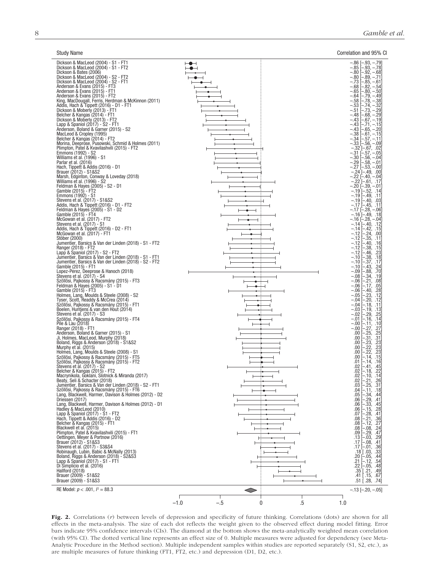

Fig. 2. Correlations (*r*) between levels of depression and specificity of future thinking. Correlations (dots) are shown for all effects in the meta-analysis. The size of each dot reflects the weight given to the observed effect during model fitting. Error bars indicate 95% confidence intervals (CIs). The diamond at the bottom shows the meta-analytically weighted mean correlation (with 95% CI). The dotted vertical line represents an effect size of 0. Multiple measures were adjusted for dependency (see Meta-Analytic Procedure in the Method section). Multiple independent samples within studies are reported separately (S1, S2, etc.), as are multiple measures of future thinking (FT1, FT2, etc.) and depression (D1, D2, etc.).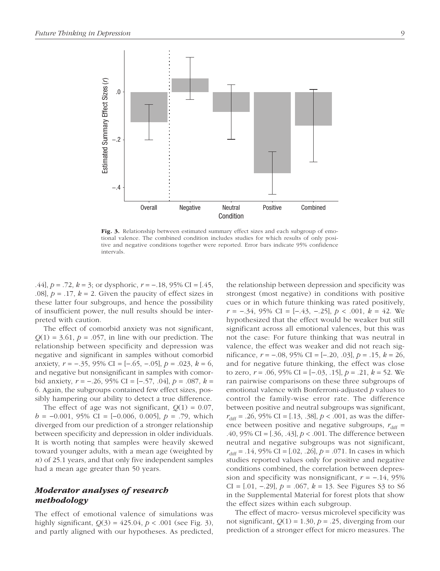

Fig. 3. Relationship between estimated summary effect sizes and each subgroup of emotional valence. The combined condition includes studies for which results of only positive and negative conditions together were reported. Error bars indicate 95% confidence intervals.

.44], *p* = .72, *k* = 3; or dysphoric, *r* = −.18, 95% CI = [.45, .08],  $p = .17$ ,  $k = 2$ . Given the paucity of effect sizes in these latter four subgroups, and hence the possibility of insufficient power, the null results should be interpreted with caution.

The effect of comorbid anxiety was not significant,  $Q(1) = 3.61$ ,  $p = .057$ , in line with our prediction. The relationship between specificity and depression was negative and significant in samples without comorbid anxiety, *r* = −.35, 95% CI = [−.65, −.05], *p* = .023, *k* = 6, and negative but nonsignificant in samples with comorbid anxiety, *r* = −.26, 95% CI = [−.57, .04], *p* = .087, *k* = 6. Again, the subgroups contained few effect sizes, possibly hampering our ability to detect a true difference.

The effect of age was not significant,  $Q(1) = 0.07$ , *b* = −0.001, 95% CI = [−0.006, 0.005], *p* = .79, which diverged from our prediction of a stronger relationship between specificity and depression in older individuals. It is worth noting that samples were heavily skewed toward younger adults, with a mean age (weighted by *n*) of 25.1 years, and that only five independent samples had a mean age greater than 50 years.

# *Moderator analyses of research methodology*

The effect of emotional valence of simulations was highly significant, *Q*(3) = 425.04, *p* < .001 (see Fig. 3), and partly aligned with our hypotheses. As predicted, the relationship between depression and specificity was strongest (most negative) in conditions with positive cues or in which future thinking was rated positively, *r* = −.34, 95% CI = [−.43, −.25], *p* < .001, *k* = 42. We hypothesized that the effect would be weaker but still significant across all emotional valences, but this was not the case: For future thinking that was neutral in valence, the effect was weaker and did not reach significance, *r* = −.08, 95% CI = [−.20, .03], *p* = .15, *k* = 26, and for negative future thinking, the effect was close to zero,  $r = .06$ ,  $95\%$  CI =  $[-.03, .15]$ ,  $p = .21$ ,  $k = 52$ . We ran pairwise comparisons on these three subgroups of emotional valence with Bonferroni-adjusted *p* values to control the family-wise error rate. The difference between positive and neutral subgroups was significant,  $r_{\text{diff}} = .26, 95\% \text{ CI} = [.13, .38], p < .001, \text{ as was the differ-}$ ence between positive and negative subgroups,  $r_{\text{diff}}$  = .40, 95% CI = [.36, .43], *p* < .001. The difference between neutral and negative subgroups was not significant,  $r_{\text{diff}} = .14,95\% \text{ CI} = [.02, .26], p = .071.$  In cases in which studies reported values only for positive and negative conditions combined, the correlation between depression and specificity was nonsignificant, *r* = −.14, 95% CI = [.01, −.29], *p* = .067, *k* = 13. See Figures S3 to S6 in the Supplemental Material for forest plots that show the effect sizes within each subgroup.

The effect of macro- versus microlevel specificity was not significant,  $Q(1) = 1.30$ ,  $p = .25$ , diverging from our prediction of a stronger effect for micro measures. The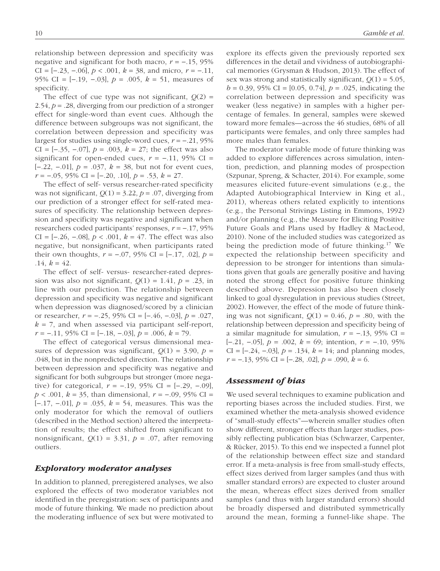relationship between depression and specificity was negative and significant for both macro, *r* = −.15, 95% CI = [−.23, −.06], *p* < .001, *k* = 38, and micro, *r* = −.11, 95% CI = [−.19, −.03], *p* = .005, *k* = 51, measures of specificity.

The effect of cue type was not significant,  $O(2)$  = 2.54, *p* = .28, diverging from our prediction of a stronger effect for single-word than event cues. Although the difference between subgroups was not significant, the correlation between depression and specificity was largest for studies using single-word cues, *r* = −.21, 95% CI = [−.35, −.07], *p* = .003, *k* = 27; the effect was also significant for open-ended cues,  $r = -0.11$ , 95% CI = [−.22, −.01], *p* = .037, *k* = 38, but not for event cues, *r* = −.05, 95% CI = [−.20, .10], *p* = .53, *k* = 27.

The effect of self- versus researcher-rated specificity was not significant,  $Q(1) = 3.22$ ,  $p = .07$ , diverging from our prediction of a stronger effect for self-rated measures of specificity. The relationship between depression and specificity was negative and significant when researchers coded participants' responses, *r* = −.17, 95% CI = [−.26, −.08], *p* < .001, *k* = 47. The effect was also negative, but nonsignificant, when participants rated their own thoughts,  $r = -.07, 95\%$  CI = [−.17, .02],  $p =$ .14, *k* = 42.

The effect of self- versus- researcher-rated depression was also not significant,  $Q(1) = 1.41$ ,  $p = .23$ , in line with our prediction. The relationship between depression and specificity was negative and significant when depression was diagnosed/scored by a clinician or researcher, *r* = −.25, 95% CI = [−.46, −.03], *p* = .027,  $k = 7$ , and when assessed via participant self-report, *r* = −.11, 95% CI = [−.18, −.03], *p* = .006, *k* = 79.

The effect of categorical versus dimensional measures of depression was significant,  $Q(1) = 3.90$ ,  $p =$ .048, but in the nonpredicted direction. The relationship between depression and specificity was negative and significant for both subgroups but stronger (more negative) for categorical,  $r = -.19, 95\% \text{ CI} = [-.29, -.09],$ *p* < .001, *k* = 35, than dimensional, *r* = −.09, 95% CI = [−.17, −.01], *p* = .035, *k* = 54, measures. This was the only moderator for which the removal of outliers (described in the Method section) altered the interpretation of results; the effect shifted from significant to nonsignificant,  $Q(1) = 3.31$ ,  $p = .07$ , after removing outliers.

## *Exploratory moderator analyses*

In addition to planned, preregistered analyses, we also explored the effects of two moderator variables not identified in the preregistration: sex of participants and mode of future thinking. We made no prediction about the moderating influence of sex but were motivated to explore its effects given the previously reported sex differences in the detail and vividness of autobiographical memories (Grysman & Hudson, 2013). The effect of sex was strong and statistically significant, *Q*(1) = 5.05,  $b = 0.39, 95\% \text{ CI} = [0.05, 0.74], p = .025, \text{ indicating the}$ correlation between depression and specificity was weaker (less negative) in samples with a higher percentage of females. In general, samples were skewed toward more females—across the 46 studies, 68% of all participants were females, and only three samples had more males than females.

The moderator variable mode of future thinking was added to explore differences across simulation, intention, prediction, and planning modes of prospection (Szpunar, Spreng, & Schacter, 2014). For example, some measures elicited future-event simulations (e.g., the Adapted Autobiographical Interview in King et al., 2011), whereas others related explicitly to intentions (e.g., the Personal Strivings Listing in Emmons, 1992) and/or planning (e.g., the Measure for Eliciting Positive Future Goals and Plans used by Hadley & MacLeod, 2010). None of the included studies was categorized as being the prediction mode of future thinking.<sup>17</sup> We expected the relationship between specificity and depression to be stronger for intentions than simulations given that goals are generally positive and having noted the strong effect for positive future thinking described above. Depression has also been closely linked to goal dysregulation in previous studies (Street, 2002). However, the effect of the mode of future thinking was not significant,  $Q(1) = 0.46$ ,  $p = .80$ , with the relationship between depression and specificity being of a similar magnitude for simulation, *r* = −.13, 95% CI = [−.21, −.05], *p* = .002, *k* = 69; intention, *r* = −.10, 95% CI = [−.24, −.03], *p* = .134, *k* = 14; and planning modes, *r* = −.13, 95% CI = [−.28, .02], *p* = .090, *k* = 6.

## *Assessment of bias*

We used several techniques to examine publication and reporting biases across the included studies. First, we examined whether the meta-analysis showed evidence of "small-study effects"—wherein smaller studies often show different, stronger effects than larger studies, possibly reflecting publication bias (Schwarzer, Carpenter, & Rücker, 2015). To this end we inspected a funnel plot of the relationship between effect size and standard error. If a meta-analysis is free from small-study effects, effect sizes derived from larger samples (and thus with smaller standard errors) are expected to cluster around the mean, whereas effect sizes derived from smaller samples (and thus with larger standard errors) should be broadly dispersed and distributed symmetrically around the mean, forming a funnel-like shape. The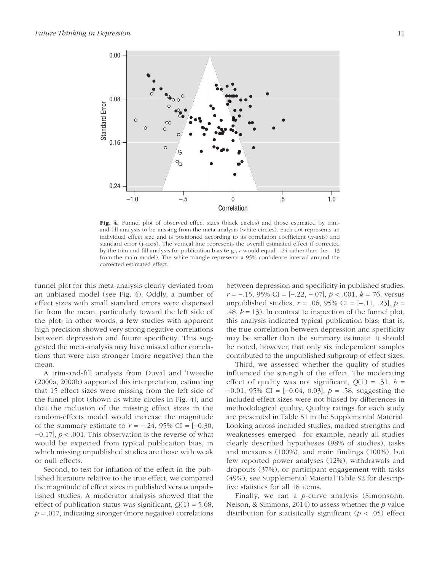

Fig. 4. Funnel plot of observed effect sizes (black circles) and those estimated by trimand-fill analysis to be missing from the meta-analysis (white circles). Each dot represents an individual effect size and is positioned according to its correlation coefficient (*x*-axis) and standard error (*y*-axis). The vertical line represents the overall estimated effect if corrected by the trim-and-fill analysis for publication bias (e.g., *r* would equal –.24 rather than the –.13 from the main model). The white triangle represents a 95% confidence interval around the corrected estimated effect.

funnel plot for this meta-analysis clearly deviated from an unbiased model (see Fig. 4). Oddly, a number of effect sizes with small standard errors were dispersed far from the mean, particularly toward the left side of the plot; in other words, a few studies with apparent high precision showed very strong negative correlations between depression and future specificity. This suggested the meta-analysis may have missed other correlations that were also stronger (more negative) than the mean.

A trim-and-fill analysis from Duval and Tweedie (2000a, 2000b) supported this interpretation, estimating that 15 effect sizes were missing from the left side of the funnel plot (shown as white circles in Fig. 4), and that the inclusion of the missing effect sizes in the random-effects model would increase the magnitude of the summary estimate to  $r = -.24, 95\%$  CI = [−0.30, −0.17], *p* < .001. This observation is the reverse of what would be expected from typical publication bias, in which missing unpublished studies are those with weak or null effects.

Second, to test for inflation of the effect in the published literature relative to the true effect, we compared the magnitude of effect sizes in published versus unpublished studies. A moderator analysis showed that the effect of publication status was significant, *Q*(1) = 5.68, *p* = .017, indicating stronger (more negative) correlations between depression and specificity in published studies, *r* = −.15, 95% CI = [−.22, −.07], *p* < .001, *k* = 76, versus unpublished studies, *r* = .06, 95% CI = [−.11, .23], *p* = .48,  $k = 13$ ). In contrast to inspection of the funnel plot, this analysis indicated typical publication bias; that is, the true correlation between depression and specificity may be smaller than the summary estimate. It should be noted, however, that only six independent samples contributed to the unpublished subgroup of effect sizes.

Third, we assessed whether the quality of studies influenced the strength of the effect. The moderating effect of quality was not significant,  $Q(1) = .31, b =$ −0.01, 95% CI = [−0.04, 0.03], *p* = .58, suggesting the included effect sizes were not biased by differences in methodological quality. Quality ratings for each study are presented in Table S1 in the Supplemental Material. Looking across included studies, marked strengths and weaknesses emerged—for example, nearly all studies clearly described hypotheses (98% of studies), tasks and measures (100%), and main findings (100%), but few reported power analyses (12%), withdrawals and dropouts (37%), or participant engagement with tasks (49%); see Supplemental Material Table S2 for descriptive statistics for all 18 items.

Finally, we ran a *p*-curve analysis (Simonsohn, Nelson, & Simmons, 2014) to assess whether the *p*-value distribution for statistically significant (*p* < .05) effect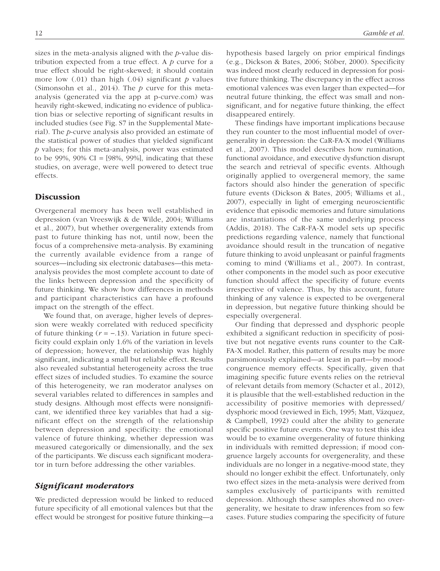sizes in the meta-analysis aligned with the *p*-value distribution expected from a true effect. A *p* curve for a true effect should be right-skewed; it should contain more low (.01) than high (.04) significant *p* values (Simonsohn et al., 2014). The *p* curve for this metaanalysis (generated via the app at p-curve.com) was heavily right-skewed, indicating no evidence of publication bias or selective reporting of significant results in included studies (see Fig. S7 in the Supplemental Material). The *p*-curve analysis also provided an estimate of the statistical power of studies that yielded significant *p* values; for this meta-analysis, power was estimated to be 99%, 90%  $CI = [98\%, 99\%]$ , indicating that these studies, on average, were well powered to detect true effects.

# **Discussion**

Overgeneral memory has been well established in depression (van Vreeswijk & de Wilde, 2004; Williams et al., 2007), but whether overgenerality extends from past to future thinking has not, until now, been the focus of a comprehensive meta-analysis. By examining the currently available evidence from a range of sources—including six electronic databases—this metaanalysis provides the most complete account to date of the links between depression and the specificity of future thinking. We show how differences in methods and participant characteristics can have a profound impact on the strength of the effect.

We found that, on average, higher levels of depression were weakly correlated with reduced specificity of future thinking (*r* = −.13). Variation in future specificity could explain only 1.6% of the variation in levels of depression; however, the relationship was highly significant, indicating a small but reliable effect. Results also revealed substantial heterogeneity across the true effect sizes of included studies. To examine the source of this heterogeneity, we ran moderator analyses on several variables related to differences in samples and study designs. Although most effects were nonsignificant, we identified three key variables that had a significant effect on the strength of the relationship between depression and specificity: the emotional valence of future thinking, whether depression was measured categorically or dimensionally, and the sex of the participants. We discuss each significant moderator in turn before addressing the other variables.

## *Significant moderators*

We predicted depression would be linked to reduced future specificity of all emotional valences but that the effect would be strongest for positive future thinking—a hypothesis based largely on prior empirical findings (e.g., Dickson & Bates, 2006; Stöber, 2000). Specificity was indeed most clearly reduced in depression for positive future thinking. The discrepancy in the effect across emotional valences was even larger than expected—for neutral future thinking, the effect was small and nonsignificant, and for negative future thinking, the effect disappeared entirely.

These findings have important implications because they run counter to the most influential model of overgenerality in depression: the CaR-FA-X model (Williams et al., 2007). This model describes how rumination, functional avoidance, and executive dysfunction disrupt the search and retrieval of specific events. Although originally applied to overgeneral memory, the same factors should also hinder the generation of specific future events (Dickson & Bates, 2005; Williams et al., 2007), especially in light of emerging neuroscientific evidence that episodic memories and future simulations are instantiations of the same underlying process (Addis, 2018). The CaR-FA-X model sets up specific predictions regarding valence, namely that functional avoidance should result in the truncation of negative future thinking to avoid unpleasant or painful fragments coming to mind (Williams et al., 2007). In contrast, other components in the model such as poor executive function should affect the specificity of future events irrespective of valence. Thus, by this account, future thinking of any valence is expected to be overgeneral in depression, but negative future thinking should be especially overgeneral.

Our finding that depressed and dysphoric people exhibited a significant reduction in specificity of positive but not negative events runs counter to the CaR-FA-X model. Rather, this pattern of results may be more parsimoniously explained—at least in part—by moodcongruence memory effects. Specifically, given that imagining specific future events relies on the retrieval of relevant details from memory (Schacter et al., 2012), it is plausible that the well-established reduction in the accessibility of positive memories with depressed/ dysphoric mood (reviewed in Eich, 1995; Matt, Vázquez, & Campbell, 1992) could alter the ability to generate specific positive future events. One way to test this idea would be to examine overgenerality of future thinking in individuals with remitted depression; if mood congruence largely accounts for overgenerality, and these individuals are no longer in a negative-mood state, they should no longer exhibit the effect. Unfortunately, only two effect sizes in the meta-analysis were derived from samples exclusively of participants with remitted depression. Although these samples showed no overgenerality, we hesitate to draw inferences from so few cases. Future studies comparing the specificity of future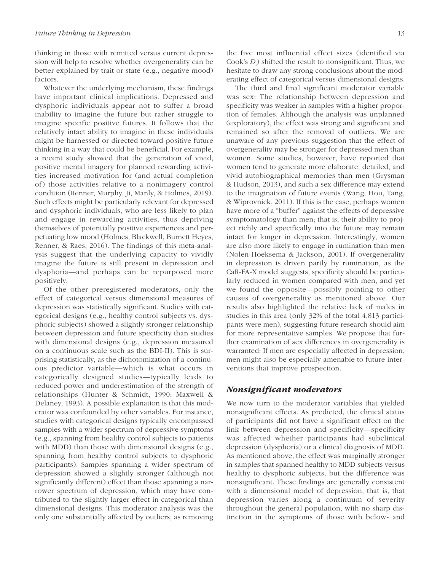thinking in those with remitted versus current depression will help to resolve whether overgenerality can be better explained by trait or state (e.g., negative mood) factors.

Whatever the underlying mechanism, these findings have important clinical implications. Depressed and dysphoric individuals appear not to suffer a broad inability to imagine the future but rather struggle to imagine specific positive futures. It follows that the relatively intact ability to imagine in these individuals might be harnessed or directed toward positive future thinking in a way that could be beneficial. For example, a recent study showed that the generation of vivid, positive mental imagery for planned rewarding activities increased motivation for (and actual completion of) those activities relative to a nonimagery control condition (Renner, Murphy, Ji, Manly, & Holmes, 2019). Such effects might be particularly relevant for depressed and dysphoric individuals, who are less likely to plan and engage in rewarding activities, thus depriving themselves of potentially positive experiences and perpetuating low mood (Holmes, Blackwell, Burnett Heyes, Renner, & Raes, 2016). The findings of this meta-analysis suggest that the underlying capacity to vividly imagine the future is still present in depression and dysphoria—and perhaps can be repurposed more positively.

Of the other preregistered moderators, only the effect of categorical versus dimensional measures of depression was statistically significant. Studies with categorical designs (e.g., healthy control subjects vs. dysphoric subjects) showed a slightly stronger relationship between depression and future specificity than studies with dimensional designs (e.g., depression measured on a continuous scale such as the BDI-II). This is surprising statistically, as the dichotomization of a continuous predictor variable—which is what occurs in categorically designed studies—typically leads to reduced power and underestimation of the strength of relationships (Hunter & Schmidt, 1990; Maxwell & Delaney, 1993). A possible explanation is that this moderator was confounded by other variables. For instance, studies with categorical designs typically encompassed samples with a wider spectrum of depressive symptoms (e.g., spanning from healthy control subjects to patients with MDD) than those with dimensional designs (e.g., spanning from healthy control subjects to dysphoric participants). Samples spanning a wider spectrum of depression showed a slightly stronger (although not significantly different) effect than those spanning a narrower spectrum of depression, which may have contributed to the slightly larger effect in categorical than dimensional designs. This moderator analysis was the only one substantially affected by outliers, as removing the five most influential effect sizes (identified via Cook's *D*<sup>i</sup> ) shifted the result to nonsignificant. Thus, we hesitate to draw any strong conclusions about the moderating effect of categorical versus dimensional designs.

The third and final significant moderator variable was sex: The relationship between depression and specificity was weaker in samples with a higher proportion of females. Although the analysis was unplanned (exploratory), the effect was strong and significant and remained so after the removal of outliers. We are unaware of any previous suggestion that the effect of overgenerality may be stronger for depressed men than women. Some studies, however, have reported that women tend to generate more elaborate, detailed, and vivid autobiographical memories than men (Grysman & Hudson, 2013), and such a sex difference may extend to the imagination of future events (Wang, Hou, Tang, & Wiprovnick, 2011). If this is the case, perhaps women have more of a "buffer" against the effects of depressive symptomatology than men; that is, their ability to project richly and specifically into the future may remain intact for longer in depression. Interestingly, women are also more likely to engage in rumination than men (Nolen-Hoeksema & Jackson, 2001). If overgenerality in depression is driven partly by rumination, as the CaR-FA-X model suggests, specificity should be particularly reduced in women compared with men, and yet we found the opposite—possibly pointing to other causes of overgenerality as mentioned above. Our results also highlighted the relative lack of males in studies in this area (only 32% of the total 4,813 participants were men), suggesting future research should aim for more representative samples. We propose that further examination of sex differences in overgenerality is warranted: If men are especially affected in depression, men might also be especially amenable to future interventions that improve prospection.

## *Nonsignificant moderators*

We now turn to the moderator variables that yielded nonsignificant effects. As predicted, the clinical status of participants did not have a significant effect on the link between depression and specificity—specificity was affected whether participants had subclinical depression (dysphoria) or a clinical diagnosis of MDD. As mentioned above, the effect was marginally stronger in samples that spanned healthy to MDD subjects versus healthy to dysphoric subjects, but the difference was nonsignificant. These findings are generally consistent with a dimensional model of depression, that is, that depression varies along a continuum of severity throughout the general population, with no sharp distinction in the symptoms of those with below- and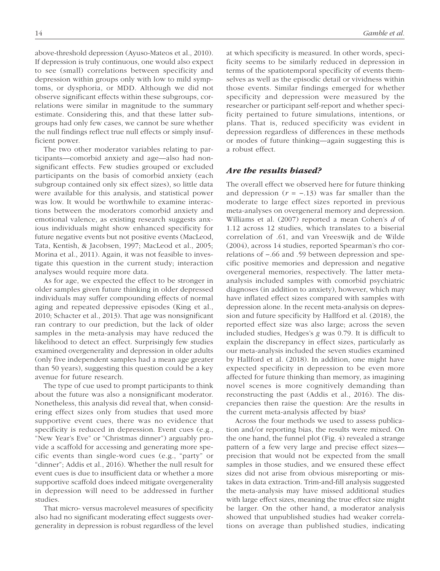above-threshold depression (Ayuso-Mateos et al., 2010). If depression is truly continuous, one would also expect to see (small) correlations between specificity and depression within groups only with low to mild symptoms, or dysphoria, or MDD. Although we did not observe significant effects within these subgroups, correlations were similar in magnitude to the summary estimate. Considering this, and that these latter subgroups had only few cases, we cannot be sure whether the null findings reflect true null effects or simply insufficient power.

The two other moderator variables relating to participants—comorbid anxiety and age—also had nonsignificant effects. Few studies grouped or excluded participants on the basis of comorbid anxiety (each subgroup contained only six effect sizes), so little data were available for this analysis, and statistical power was low. It would be worthwhile to examine interactions between the moderators comorbid anxiety and emotional valence, as existing research suggests anxious individuals might show enhanced specificity for future negative events but not positive events (MacLeod, Tata, Kentish, & Jacobsen, 1997; MacLeod et al., 2005; Morina et al., 2011). Again, it was not feasible to investigate this question in the current study; interaction analyses would require more data.

As for age, we expected the effect to be stronger in older samples given future thinking in older depressed individuals may suffer compounding effects of normal aging and repeated depressive episodes (King et al., 2010; Schacter et al., 2013). That age was nonsignificant ran contrary to our prediction, but the lack of older samples in the meta-analysis may have reduced the likelihood to detect an effect. Surprisingly few studies examined overgenerality and depression in older adults (only five independent samples had a mean age greater than 50 years), suggesting this question could be a key avenue for future research.

The type of cue used to prompt participants to think about the future was also a nonsignificant moderator. Nonetheless, this analysis did reveal that, when considering effect sizes only from studies that used more supportive event cues, there was no evidence that specificity is reduced in depression. Event cues (e.g., "New Year's Eve" or "Christmas dinner") arguably provide a scaffold for accessing and generating more specific events than single-word cues (e.g., "party" or "dinner"; Addis et al., 2016). Whether the null result for event cues is due to insufficient data or whether a more supportive scaffold does indeed mitigate overgenerality in depression will need to be addressed in further studies.

That micro- versus macrolevel measures of specificity also had no significant moderating effect suggests overgenerality in depression is robust regardless of the level at which specificity is measured. In other words, specificity seems to be similarly reduced in depression in terms of the spatiotemporal specificity of events themselves as well as the episodic detail or vividness within those events. Similar findings emerged for whether specificity and depression were measured by the researcher or participant self-report and whether specificity pertained to future simulations, intentions, or plans. That is, reduced specificity was evident in depression regardless of differences in these methods or modes of future thinking—again suggesting this is a robust effect.

## *Are the results biased?*

The overall effect we observed here for future thinking and depression  $(r = -.13)$  was far smaller than the moderate to large effect sizes reported in previous meta-analyses on overgeneral memory and depression. Williams et al. (2007) reported a mean Cohen's *d* of 1.12 across 12 studies, which translates to a biserial correlation of .61, and van Vreeswijk and de Wilde (2004), across 14 studies, reported Spearman's rho correlations of −.66 and .59 between depression and specific positive memories and depression and negative overgeneral memories, respectively. The latter metaanalysis included samples with comorbid psychiatric diagnoses (in addition to anxiety), however, which may have inflated effect sizes compared with samples with depression alone. In the recent meta-analysis on depression and future specificity by Hallford et al. (2018), the reported effect size was also large; across the seven included studies, Hedges's *g* was 0.79. It is difficult to explain the discrepancy in effect sizes, particularly as our meta-analysis included the seven studies examined by Hallford et al. (2018). In addition, one might have expected specificity in depression to be even more affected for future thinking than memory, as imagining novel scenes is more cognitively demanding than reconstructing the past (Addis et al., 2016). The discrepancies then raise the question: Are the results in the current meta-analysis affected by bias?

Across the four methods we used to assess publication and/or reporting bias, the results were mixed. On the one hand, the funnel plot (Fig. 4) revealed a strange pattern of a few very large and precise effect sizes precision that would not be expected from the small samples in those studies, and we ensured these effect sizes did not arise from obvious misreporting or mistakes in data extraction. Trim-and-fill analysis suggested the meta-analysis may have missed additional studies with large effect sizes, meaning the true effect size might be larger. On the other hand, a moderator analysis showed that unpublished studies had weaker correlations on average than published studies, indicating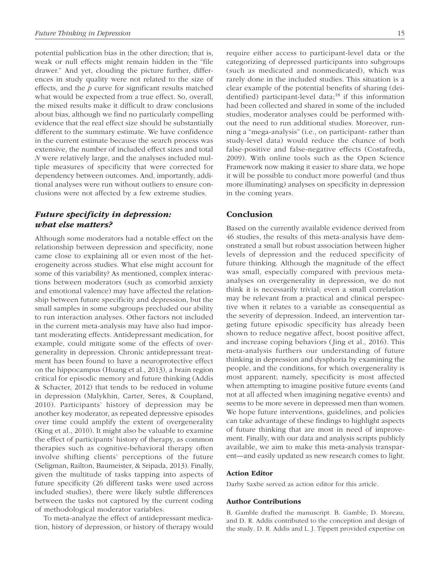potential publication bias in the other direction; that is, weak or null effects might remain hidden in the "file drawer." And yet, clouding the picture further, differences in study quality were not related to the size of effects, and the *p* curve for significant results matched what would be expected from a true effect. So, overall, the mixed results make it difficult to draw conclusions about bias, although we find no particularly compelling evidence that the real effect size should be substantially different to the summary estimate. We have confidence in the current estimate because the search process was extensive, the number of included effect sizes and total *N* were relatively large, and the analyses included multiple measures of specificity that were corrected for dependency between outcomes. And, importantly, additional analyses were run without outliers to ensure conclusions were not affected by a few extreme studies.

# *Future specificity in depression: what else matters?*

Although some moderators had a notable effect on the relationship between depression and specificity, none came close to explaining all or even most of the heterogeneity across studies. What else might account for some of this variability? As mentioned, complex interactions between moderators (such as comorbid anxiety and emotional valence) may have affected the relationship between future specificity and depression, but the small samples in some subgroups precluded our ability to run interaction analyses. Other factors not included in the current meta-analysis may have also had important moderating effects. Antidepressant medication, for example, could mitigate some of the effects of overgenerality in depression. Chronic antidepressant treatment has been found to have a neuroprotective effect on the hippocampus (Huang et al., 2013), a brain region critical for episodic memory and future thinking (Addis & Schacter, 2012) that tends to be reduced in volume in depression (Malykhin, Carter, Seres, & Coupland, 2010). Participants' history of depression may be another key moderator, as repeated depressive episodes over time could amplify the extent of overgenerality (King et al., 2010). It might also be valuable to examine the effect of participants' history of therapy, as common therapies such as cognitive-behavioral therapy often involve shifting clients' perceptions of the future (Seligman, Railton, Baumeister, & Sripada, 2013). Finally, given the multitude of tasks tapping into aspects of future specificity (26 different tasks were used across included studies), there were likely subtle differences between the tasks not captured by the current coding of methodological moderator variables.

To meta-analyze the effect of antidepressant medication, history of depression, or history of therapy would require either access to participant-level data or the categorizing of depressed participants into subgroups (such as medicated and nonmedicated), which was rarely done in the included studies. This situation is a clear example of the potential benefits of sharing (deidentified) participant-level data; $^{18}$  if this information had been collected and shared in some of the included studies, moderator analyses could be performed without the need to run additional studies. Moreover, running a "mega-analysis" (i.e., on participant- rather than study-level data) would reduce the chance of both false-positive and false-negative effects (Costafreda, 2009). With online tools such as the Open Science Framework now making it easier to share data, we hope it will be possible to conduct more powerful (and thus more illuminating) analyses on specificity in depression in the coming years.

# Conclusion

Based on the currently available evidence derived from 46 studies, the results of this meta-analysis have demonstrated a small but robust association between higher levels of depression and the reduced specificity of future thinking. Although the magnitude of the effect was small, especially compared with previous metaanalyses on overgenerality in depression, we do not think it is necessarily trivial; even a small correlation may be relevant from a practical and clinical perspective when it relates to a variable as consequential as the severity of depression. Indeed, an intervention targeting future episodic specificity has already been shown to reduce negative affect, boost positive affect, and increase coping behaviors (Jing et al., 2016). This meta-analysis furthers our understanding of future thinking in depression and dysphoria by examining the people, and the conditions, for which overgenerality is most apparent; namely, specificity is most affected when attempting to imagine positive future events (and not at all affected when imagining negative events) and seems to be more severe in depressed men than women. We hope future interventions, guidelines, and policies can take advantage of these findings to highlight aspects of future thinking that are most in need of improvement. Finally, with our data and analysis scripts publicly available, we aim to make this meta-analysis transparent—and easily updated as new research comes to light.

#### Action Editor

Darby Saxbe served as action editor for this article.

#### Author Contributions

B. Gamble drafted the manuscript. B. Gamble, D. Moreau, and D. R. Addis contributed to the conception and design of the study. D. R. Addis and L. J. Tippett provided expertise on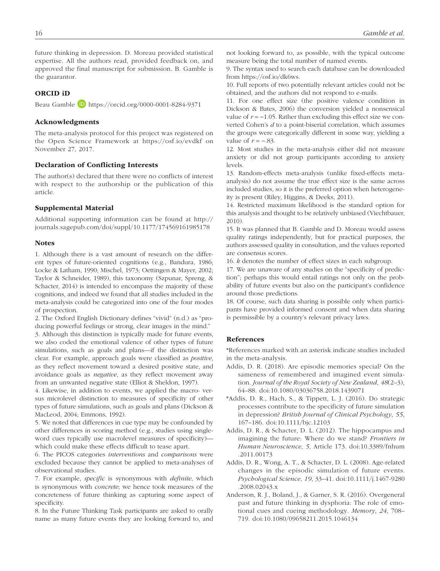future thinking in depression. D. Moreau provided statistical expertise. All the authors read, provided feedback on, and approved the final manuscript for submission. B. Gamble is the guarantor.

## ORCID iD

Beau Gamble https://orcid.org/0000-0001-8284-9371

#### Acknowledgments

The meta-analysis protocol for this project was registered on the Open Science Framework at https://osf.io/evdkf on November 27, 2017.

#### Declaration of Conflicting Interests

The author(s) declared that there were no conflicts of interest with respect to the authorship or the publication of this article.

## Supplemental Material

Additional supporting information can be found at http:// journals.sagepub.com/doi/suppl/10.1177/174569161985178

#### **Notes**

1. Although there is a vast amount of research on the different types of future-oriented cognitions (e.g., Bandura, 1986; Locke & Latham, 1990; Mischel, 1973; Oettingen & Mayer, 2002; Taylor & Schneider, 1989), this taxonomy (Szpunar, Spreng, & Schacter, 2014) is intended to encompass the majority of these cognitions, and indeed we found that all studies included in the meta-analysis could be categorized into one of the four modes of prospection.

2. The Oxford English Dictionary defines "vivid" (n.d.) as "producing powerful feelings or strong, clear images in the mind."

3. Although this distinction is typically made for future events, we also coded the emotional valence of other types of future simulations, such as goals and plans—if the distinction was clear. For example, approach goals were classified as *positive*, as they reflect movement toward a desired positive state, and avoidance goals as *negative*, as they reflect movement away from an unwanted negative state (Elliot & Sheldon, 1997).

4. Likewise, in addition to events, we applied the macro- versus microlevel distinction to measures of specificity of other types of future simulations, such as goals and plans (Dickson & MacLeod, 2004; Emmons, 1992).

5. We noted that differences in cue type may be confounded by other differences in scoring method (e.g., studies using singleword cues typically use macrolevel measures of specificity) which could make these effects difficult to tease apart.

6. The PICOS categories *interventions* and *comparisons* were excluded because they cannot be applied to meta-analyses of observational studies.

7. For example, *specific* is synonymous with *definite*, which is synonymous with *concrete*; we hence took measures of the concreteness of future thinking as capturing some aspect of specificity.

8. In the Future Thinking Task participants are asked to orally name as many future events they are looking forward to, and not looking forward to, as possible, with the typical outcome measure being the total number of named events.

9. The syntax used to search each database can be downloaded from https://osf.io/dk6ws.

10. Full reports of two potentially relevant articles could not be obtained, and the authors did not respond to e-mails.

11. For one effect size (the positive valence condition in Dickson & Bates, 2006) the conversion yielded a nonsensical value of  $r = -1.05$ . Rather than excluding this effect size we converted Cohen's *d* to a point-biserial correlation, which assumes the groups were categorically different in some way, yielding a value of  $r = -.83$ .

12. Most studies in the meta-analysis either did not measure anxiety or did not group participants according to anxiety levels.

13. Random-effects meta-analysis (unlike fixed-effects metaanalysis) do not assume the true effect size is the same across included studies, so it is the preferred option when heterogeneity is present (Riley, Higgins, & Deeks, 2011).

14. Restricted maximum likelihood is the standard option for this analysis and thought to be relatively unbiased (Viechtbauer, 2010).

15. It was planned that B. Gamble and D. Moreau would assess quality ratings independently, but for practical purposes, the authors assessed quality in consultation, and the values reported are consensus scores.

16. *k* denotes the number of effect sizes in each subgroup.

17. We are unaware of any studies on the "specificity of prediction"; perhaps this would entail ratings not only on the probability of future events but also on the participant's confidence around those predictions.

18. Of course, such data sharing is possible only when participants have provided informed consent and when data sharing is permissible by a country's relevant privacy laws.

#### References

\*References marked with an asterisk indicate studies included in the meta-analysis.

- Addis, D. R. (2018). Are episodic memories special? On the sameness of remembered and imagined event simulation. *Journal of the Royal Society of New Zealand*, *48*(2–3), 64–88. doi:10.1080/03036758.2018.1439071
- \*Addis, D. R., Hach, S., & Tippett, L. J. (2016). Do strategic processes contribute to the specificity of future simulation in depression? *British Journal of Clinical Psychology*, *55*, 167–186. doi:10.1111/bjc.12103
- Addis, D. R., & Schacter, D. L. (2012). The hippocampus and imagining the future: Where do we stand? *Frontiers in Human Neuroscience*, *5*, Article 173. doi:10.3389/fnhum .2011.00173
- Addis, D. R., Wong, A. T., & Schacter, D. L. (2008). Age-related changes in the episodic simulation of future events. *Psychological Science*, *19*, 33–41. doi:10.1111/j.1467-9280 .2008.02043.x
- Anderson, R. J., Boland, J., & Garner, S. R. (2016). Overgeneral past and future thinking in dysphoria: The role of emotional cues and cueing methodology. *Memory*, *24*, 708– 719. doi:10.1080/09658211.2015.1046134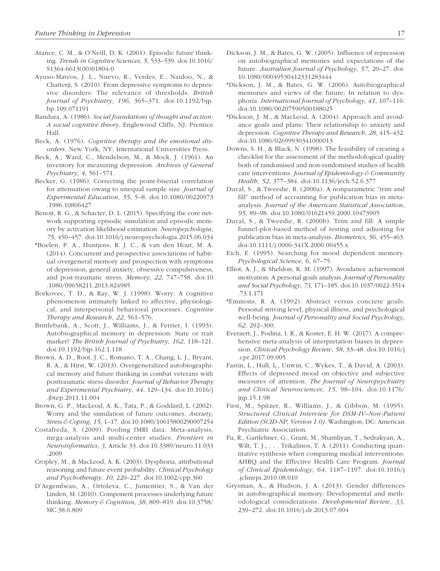- Atance, C. M., & O'Neill, D. K. (2001). Episodic future thinking. *Trends in Cognitive Sciences*, *5*, 533–539. doi:10.1016/ S1364-6613(00)01804-0
- Ayuso-Mateos, J. L., Nuevo, R., Verdes, E., Naidoo, N., & Chatterji, S. (2010). From depressive symptoms to depressive disorders: The relevance of thresholds. *British Journal of Psychiatry*, *196*, 365–371. doi:10.1192/bjp. bp.109.071191
- Bandura, A. (1986). *Social foundations of thought and action: A social cognitive theory*. Englewood Cliffs, NJ: Prentice Hall.
- Beck, A. (1976). *Cognitive therapy and the emotional disorders*. New York, NY: International Universities Press.
- Beck, A., Ward, C., Mendelson, M., & Mock, J. (1961). An inventory for measuring depression. *Archives of General Psychiatry*, *4*, 561–571.
- Becker, G. (1986). Correcting the point-biserial correlation for attenuation owing to unequal sample size. *Journal of Experimental Education*, *55*, 5–8. doi:10.1080/00220973 .1986.10806427
- Benoit, R. G., & Schacter, D. L. (2015). Specifying the core network supporting episodic simulation and episodic memory by activation likelihood estimation. *Neuropsychologia*, *75*, 450–457. doi:10.1016/j.neuropsychologia.2015.06.034
- \*Boelen, P. A., Huntjens, R. J. C., & van den Hout, M. A. (2014). Concurrent and prospective associations of habitual overgeneral memory and prospection with symptoms of depression, general anxiety, obsessive compulsiveness, and post-traumatic stress. *Memory*, *22*, 747–758. doi:10 .1080/09658211.2013.824985
- Borkovec, T. D., & Ray, W. J. (1998). Worry: A cognitive phenomenon intimately linked to affective, physiological, and interpersonal behavioral processes. *Cognitive Therapy and Research*, *22*, 561–576.
- Brittlebank, A., Scott, J., Williams, J., & Ferrier, I. (1993). Autobiographical memory in depression: State or trait marker? *The British Journal of Psychiatry*, *162*, 118–121. doi:10.1192/bjp.162.1.118
- Brown, A. D., Root, J. C., Romano, T. A., Chang, L. J., Bryant, R. A., & Hirst, W. (2013). Overgeneralized autobiographical memory and future thinking in combat veterans with posttraumatic stress disorder. *Journal of Behavior Therapy and Experimental Psychiatry*, *44*, 129–134. doi:10.1016/j .jbtep.2011.11.004
- Brown, G. P., MacLeod, A. K., Tata, P., & Goddard, L. (2002). Worry and the simulation of future outcomes. *Anxiety, Stress & Coping*, *15*, 1–17. doi:10.1080/10615800290007254
- Costafreda, S. (2009). Pooling fMRI data: Meta-analysis, mega-analysis and multi-center studies. *Frontiers in Neuroinformatics*, *3*, Article 33. doi:10.3389/neuro.11.033 .2009
- Cropley, M., & MacLeod, A. K. (2003). Dysphoria, attributional reasoning and future event probability. *Clinical Psychology and Psychotherapy*, *10*, 220–227. doi:10.1002/cpp.360
- D'Argembeau, A., Ortoleva, C., Jumentier, S., & Van der Linden, M. (2010). Component processes underlying future thinking. *Memory & Cognition*, *38*, 809–819. doi:10.3758/ MC.38.6.809
- Dickson, J. M., & Bates, G. W. (2005). Influence of repression on autobiographical memories and expectations of the future. *Australian Journal of Psychology*, *57*, 20–27. doi: 10.1080/00049530412331283444
- \*Dickson, J. M., & Bates, G. W. (2006). Autobiographical memories and views of the future: In relation to dysphoria. *International Journal of Psychology*, *41*, 107–116. doi:10.1080/00207590500188025
- \*Dickson, J. M., & MacLeod, A. (2004). Approach and avoidance goals and plans: Their relationship to anxiety and depression. *Cognitive Therapy and Research*, *28*, 415–432. doi:10.1080/02699930341000013
- Downs, S. H., & Black, N. (1998). The feasibility of creating a checklist for the assessment of the methodological quality both of randomised and non-randomised studies of health care interventions. *Journal of Epidemiology & Community Health*, *52*, 377–384. doi:10.1136/jech.52.6.377
- Duval, S., & Tweedie, R. (2000a). A nonparametric "trim and fill" method of accounting for publication bias in metaanalysis. *Journal of the American Statistical Association*, *95*, 89–98. doi:10.1080/01621459.2000.10473905
- Duval, S., & Tweedie, R. (2000b). Trim and fill: A simple funnel-plot-based method of testing and adjusting for publication bias in meta-analysis. *Biometrics*, *56*, 455–463. doi:10.1111/j.0006-341X.2000.00455.x
- Eich, E. (1995). Searching for mood dependent memory. *Psychological Science*, *6*, 67–75.
- Elliot, A. J., & Sheldon, K. M. (1997). Avoidance achievement motivation: A personal goals analysis. *Journal of Personality and Social Psychology*, *73*, 171–185. doi:10.1037/0022-3514 .73.1.171
- \*Emmons, R. A. (1992). Abstract versus concrete goals: Personal striving level, physical illness, and psychological well-being. *Journal of Personality and Social Psychology*, *62*, 292–300.
- Everaert, J., Podina, I. R., & Koster, E. H. W. (2017). A comprehensive meta-analysis of interpretation biases in depression. *Clinical Psychology Review*, *58*, 33–48. doi:10.1016/j .cpr.2017.09.005
- Farrin, L., Hull, L., Unwin, C., Wykes, T., & David, A. (2003). Effects of depressed mood on objective and subjective measures of attention. *The Journal of Neuropsychiatry and Clinical Neurosciences*, *15*, 98–104. doi:10.1176/ jnp.15.1.98
- First, M., Spitzer, R., Williams, J., & Gibbon, M. (1995). *Structured Clinical Interview for DSM-IV–Non-Patient Edition (SCID-NP, Version 1.0)*. Washington, DC: American Psychiatric Association.
- Fu, R., Gartlehner, G., Grant, M., Shamliyan, T., Sedrakyan, A., Wilt, T. J., . . . Trikalinos, T. A. (2011). Conducting quantitative synthesis when comparing medical interventions: AHRQ and the Effective Health Care Program. *Journal of Clinical Epidemiology*, *64*, 1187–1197. doi:10.1016/j .jclinepi.2010.08.010
- Grysman, A., & Hudson, J. A. (2013). Gender differences in autobiographical memory: Developmental and methodological considerations. *Developmental Review*, *33*, 239–272. doi:10.1016/j.dr.2013.07.004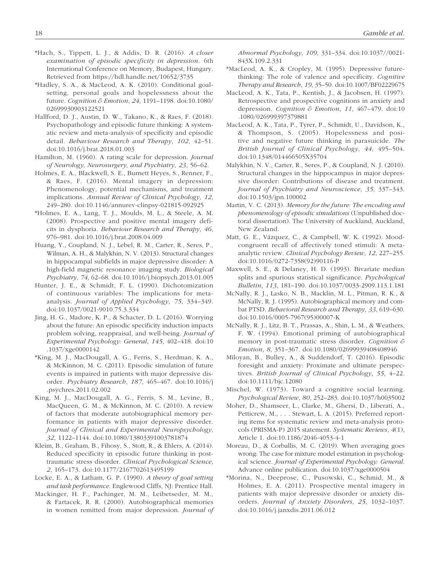- \*Hach, S., Tippett, L. J., & Addis, D. R. (2016). *A closer examination of episodic specificity in depression*. 6th International Conference on Memory, Budapest, Hungary. Retrieved from https://hdl.handle.net/10652/3735
- \*Hadley, S. A., & MacLeod, A. K. (2010). Conditional goalsetting, personal goals and hopelessness about the future. *Cognition & Emotion*, *24*, 1191–1198. doi:10.1080/ 02699930903122521
- Hallford, D. J., Austin, D. W., Takano, K., & Raes, F. (2018). Psychopathology and episodic future thinking: A systematic review and meta-analysis of specificity and episodic detail. *Behaviour Research and Therapy*, *102*, 42–51. doi:10.1016/j.brat.2018.01.003
- Hamilton, M. (1960). A rating scale for depression. *Journal of Neurology, Neurosurgery, and Psychiatry*, *23*, 56–62.
- Holmes, E. A., Blackwell, S. E., Burnett Heyes, S., Renner, F., & Raes, F. (2016). Mental imagery in depression: Phenomenology, potential mechanisms, and treatment implications. *Annual Review of Clinical Psychology*, *12*, 249–280. doi:10.1146/annurev-clinpsy-021815-092925
- \*Holmes, E. A., Lang, T. J., Moulds, M. L., & Steele, A. M. (2008). Prospective and positive mental imagery deficits in dysphoria. *Behaviour Research and Therapy*, *46*, 976–981. doi:10.1016/j.brat.2008.04.009
- Huang, Y., Coupland, N. J., Lebel, R. M., Carter, R., Seres, P., Wilman, A. H., & Malykhin, N. V. (2013). Structural changes in hippocampal subfields in major depressive disorder: A high-field magnetic resonance imaging study. *Biological Psychiatry*, *74*, 62–68. doi:10.1016/j.biopsych.2013.01.005
- Hunter, J. E., & Schmidt, F. L. (1990). Dichotomization of continuous variables: The implications for metaanalysis. *Journal of Applied Psychology*, *75*, 334–349. doi:10.1037/0021-9010.75.3.334
- Jing, H. G., Madore, K. P., & Schacter, D. L. (2016). Worrying about the future: An episodic specificity induction impacts problem solving, reappraisal, and well-being. *Journal of Experimental Psychology: General*, *145*, 402–418. doi:10 .1037/xge0000142
- \*King, M. J., MacDougall, A. G., Ferris, S., Herdman, K. A., & McKinnon, M. C. (2011). Episodic simulation of future events is impaired in patients with major depressive disorder. *Psychiatry Research*, *187*, 465–467. doi:10.1016/j .psychres.2011.02.002
- King, M. J., MacDougall, A. G., Ferris, S. M., Levine, B., MacQueen, G. M., & McKinnon, M. C. (2010). A review of factors that moderate autobiographical memory performance in patients with major depressive disorder. *Journal of Clinical and Experimental Neuropsychology*, *32*, 1122–1144. doi:10.1080/13803391003781874
- Kleim, B., Graham, B., Fihosy, S., Stott, R., & Ehlers, A. (2014). Reduced specificity in episodic future thinking in posttraumatic stress disorder. *Clinical Psychological Science*, *2*, 165–173. doi:10.1177/2167702613495199
- Locke, E. A., & Latham, G. P. (1990). *A theory of goal setting and task performance*. Englewood Cliffs, NJ: Prentice Hall.
- Mackinger, H. F., Pachinger, M. M., Leibetseder, M. M., & Fartacek, R. R. (2000). Autobiographical memories in women remitted from major depression. *Journal of*

*Abnormal Psychology*, *109*, 331–334. doi:10.1037//0021- 843X.109.2.331

- \*MacLeod, A. K., & Cropley, M. (1995). Depressive futurethinking: The role of valence and specificity. *Cognitive Therapy and Research*, *19*, 35–50. doi:10.1007/BF02229675
- MacLeod, A. K., Tata, P., Kentish, J., & Jacobsen, H. (1997). Retrospective and prospective cognitions in anxiety and depression. *Cognition & Emotion*, *11*, 467–479. doi:10 .1080/026999397379881
- MacLeod, A. K., Tata, P., Tyrer, P., Schmidt, U., Davidson, K., & Thompson, S. (2005). Hopelessness and positive and negative future thinking in parasuicide. *The British Journal of Clinical Psychology*, *44*, 495–504. doi:10.1348/014466505X35704
- Malykhin, N. V., Carter, R., Seres, P., & Coupland, N. J. (2010). Structural changes in the hippocampus in major depressive disorder: Contributions of disease and treatment. *Journal of Psychiatry and Neuroscience*, *35*, 337–343. doi:10.1503/jpn.100002
- Martin, V. C. (2013). *Memory for the future: The encoding and phenomenology of episodic simulations* (Unpublished doctoral dissertation). The University of Auckland, Auckland, New Zealand.
- Matt, G. E., Vázquez, C., & Campbell, W. K. (1992). Moodcongruent recall of affectively toned stimuli: A metaanalytic review. *Clinical Psychology Review*, *12*, 227–255. doi:10.1016/0272-7358(92)90116-P
- Maxwell, S. E., & Delaney, H. D. (1993). Bivariate median splits and spurious statistical significance. *Psychological Bulletin*, *113*, 181–190. doi:10.1037/0033-2909.113.1.181
- McNally, R. J., Lasko, N. B., Macklin, M. L., Pitman, R. K., & McNally, R. J. (1995). Autobiographical memory and combat PTSD. *Behavioral Research and Therapy*, *33*, 619–630. doi:10.1016/0005-7967(95)00007-K
- McNally, R. J., Litz, B. T., Prassas, A., Shin, L. M., & Weathers, F. W. (1994). Emotional priming of autobiographical memory in post-traumatic stress disorder. *Cognition & Emotion*, *8*, 351–367. doi:10.1080/02699939408408946
- Miloyan, B., Bulley, A., & Suddendorf, T. (2016). Episodic foresight and anxiety: Proximate and ultimate perspectives. *British Journal of Clinical Psychology*, *55*, 4–22. doi:10.1111/bjc.12080
- Mischel, W. (1973). Toward a cognitive social learning. *Psychological Review*, *80*, 252–283. doi:10.1037/h0035002
- Moher, D., Shamseer, L., Clarke, M., Ghersi, D., Liberati, A., Petticrew, M., . . . Stewart, L. A. (2015). Preferred reporting items for systematic review and meta-analysis protocols (PRISMA-P) 2015 statement. *Systematic Reviews*, *4*(1), Article 1. doi:10.1186/2046-4053-4-1
- Moreau, D., & Corballis, M. C. (2019). When averaging goes wrong: The case for mixture model estimation in psychological science. *Journal of Experimental Psychology: General*. Advance online publication. doi:10.1037/xge0000504
- \*Morina, N., Deeprose, C., Pusowski, C., Schmid, M., & Holmes, E. A. (2011). Prospective mental imagery in patients with major depressive disorder or anxiety disorders. *Journal of Anxiety Disorders*, *25*, 1032–1037. doi:10.1016/j.janxdis.2011.06.012